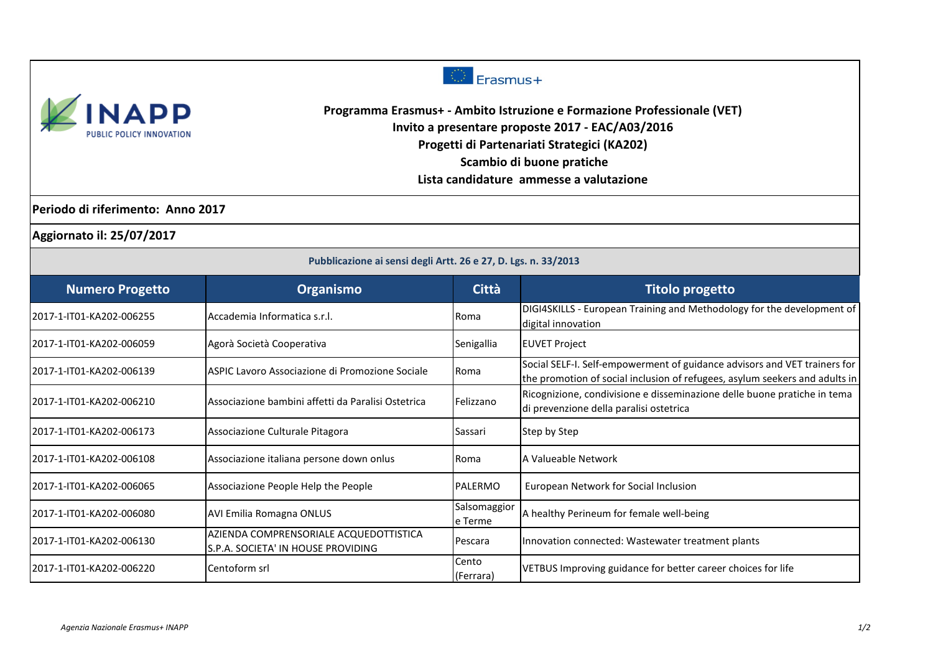



**Programma Erasmus+ - Ambito Istruzione e Formazione Professionale (VET) Invito a presentare proposte 2017 - EAC/A03/2016 Progetti di Partenariati Strategici (KA202) Scambio di buone pratiche**

**Lista candidature ammesse a valutazione**

**Periodo di riferimento: Anno 2017**

**Aggiornato il: 25/07/2017**

| Pubblicazione ai sensi degli Artt. 26 e 27, D. Lgs. n. 33/2013 |                                                                               |                         |                                                                                                                                                          |  |
|----------------------------------------------------------------|-------------------------------------------------------------------------------|-------------------------|----------------------------------------------------------------------------------------------------------------------------------------------------------|--|
| <b>Numero Progetto</b>                                         | Organismo                                                                     | <b>Città</b>            | <b>Titolo progetto</b>                                                                                                                                   |  |
| 2017-1-IT01-KA202-006255                                       | Accademia Informatica s.r.l.                                                  | Roma                    | DIGI4SKILLS - European Training and Methodology for the development of<br>digital innovation                                                             |  |
| l2017-1-IT01-KA202-006059                                      | Agorà Società Cooperativa                                                     | Senigallia              | <b>EUVET Project</b>                                                                                                                                     |  |
| 2017-1-IT01-KA202-006139                                       | IASPIC Lavoro Associazione di Promozione Sociale                              | Roma                    | Social SELF-I. Self-empowerment of guidance advisors and VET trainers for<br>the promotion of social inclusion of refugees, asylum seekers and adults in |  |
| 2017-1-IT01-KA202-006210                                       | Associazione bambini affetti da Paralisi Ostetrica                            | Felizzano               | Ricognizione, condivisione e disseminazione delle buone pratiche in tema<br>di prevenzione della paralisi ostetrica                                      |  |
| 2017-1-IT01-KA202-006173                                       | Associazione Culturale Pitagora                                               | Sassari                 | Step by Step                                                                                                                                             |  |
| 2017-1-IT01-KA202-006108                                       | Associazione italiana persone down onlus                                      | Roma                    | A Valueable Network                                                                                                                                      |  |
| l2017-1-IT01-KA202-006065                                      | Associazione People Help the People                                           | PALERMO                 | European Network for Social Inclusion                                                                                                                    |  |
| 2017-1-IT01-KA202-006080                                       | <b>AVI Emilia Romagna ONLUS</b>                                               | Salsomaggior<br>e Terme | A healthy Perineum for female well-being                                                                                                                 |  |
| 2017-1-IT01-KA202-006130                                       | AZIENDA COMPRENSORIALE ACQUEDOTTISTICA<br>ls.p.a. Societa' in house providing | Pescara                 | Innovation connected: Wastewater treatment plants                                                                                                        |  |
| 2017-1-IT01-KA202-006220                                       | Centoform srl                                                                 | Cento<br>(Ferrara)      | VETBUS Improving guidance for better career choices for life                                                                                             |  |